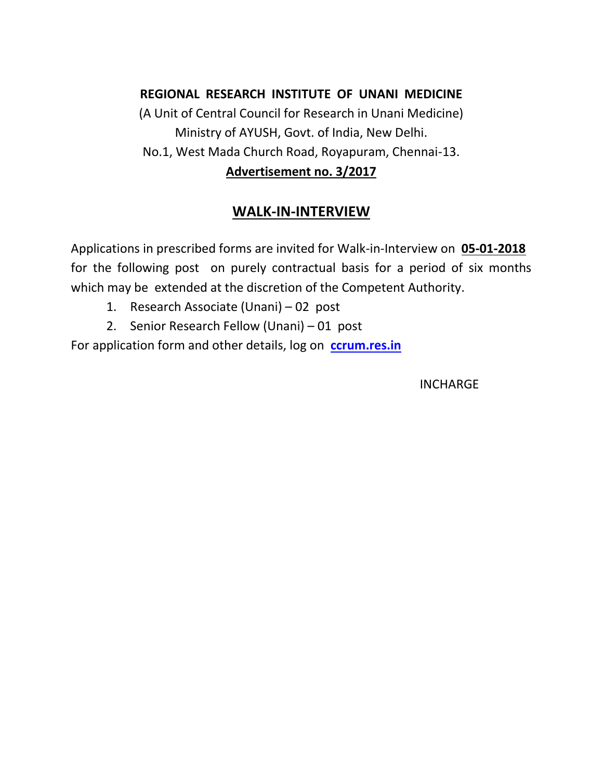### **REGIONAL RESEARCH INSTITUTE OF UNANI MEDICINE**

(A Unit of Central Council for Research in Unani Medicine) Ministry of AYUSH, Govt. of India, New Delhi. No.1, West Mada Church Road, Royapuram, Chennai-13. **Advertisement no. 3/2017**

# **WALK-IN-INTERVIEW**

Applications in prescribed forms are invited for Walk-in-Interview on **05-01-2018** for the following post on purely contractual basis for a period of six months which may be extended at the discretion of the Competent Authority.

- 1. Research Associate (Unani) 02 post
- 2. Senior Research Fellow (Unani) 01 post

For application form and other details, log on **[ccrum.res.in](http://www.ccrum.res.in/)**

**INCHARGE**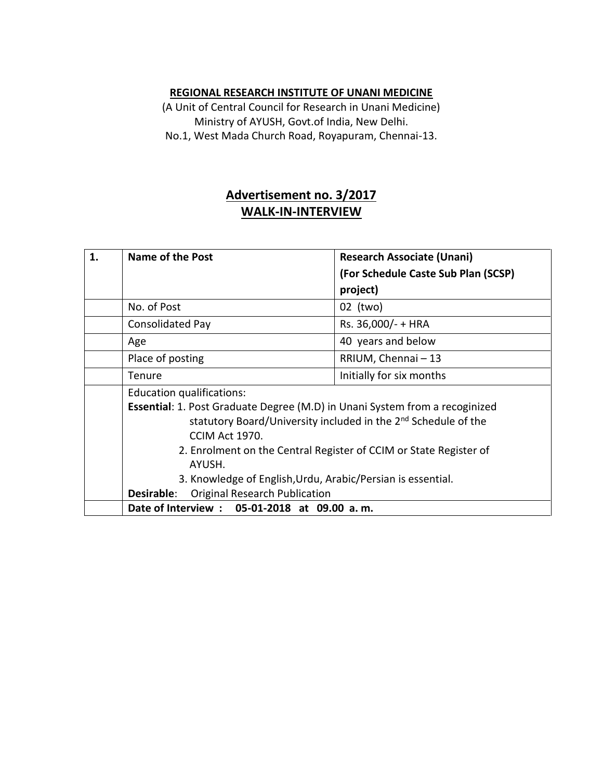#### **REGIONAL RESEARCH INSTITUTE OF UNANI MEDICINE**

(A Unit of Central Council for Research in Unani Medicine) Ministry of AYUSH, Govt.of India, New Delhi. No.1, West Mada Church Road, Royapuram, Chennai-13.

## **Advertisement no. 3/2017 WALK-IN-INTERVIEW**

| 1. | Name of the Post                                                                              | <b>Research Associate (Unani)</b>   |  |
|----|-----------------------------------------------------------------------------------------------|-------------------------------------|--|
|    |                                                                                               | (For Schedule Caste Sub Plan (SCSP) |  |
|    |                                                                                               | project)                            |  |
|    | No. of Post                                                                                   | 02 (two)                            |  |
|    | <b>Consolidated Pay</b>                                                                       | Rs. 36,000/- + HRA                  |  |
|    | Age                                                                                           | 40 years and below                  |  |
|    | Place of posting                                                                              | RRIUM, Chennai - 13                 |  |
|    | Tenure                                                                                        | Initially for six months            |  |
|    | Education qualifications:                                                                     |                                     |  |
|    | <b>Essential:</b> 1. Post Graduate Degree (M.D) in Unani System from a recoginized            |                                     |  |
|    | statutory Board/University included in the 2 <sup>nd</sup> Schedule of the                    |                                     |  |
|    | CCIM Act 1970.<br>2. Enrolment on the Central Register of CCIM or State Register of<br>AYUSH. |                                     |  |
|    |                                                                                               |                                     |  |
|    |                                                                                               |                                     |  |
|    | 3. Knowledge of English, Urdu, Arabic/Persian is essential.                                   |                                     |  |
|    | <b>Original Research Publication</b><br>Desirable:                                            |                                     |  |
|    | Date of Interview : 05-01-2018 at 09.00 a.m.                                                  |                                     |  |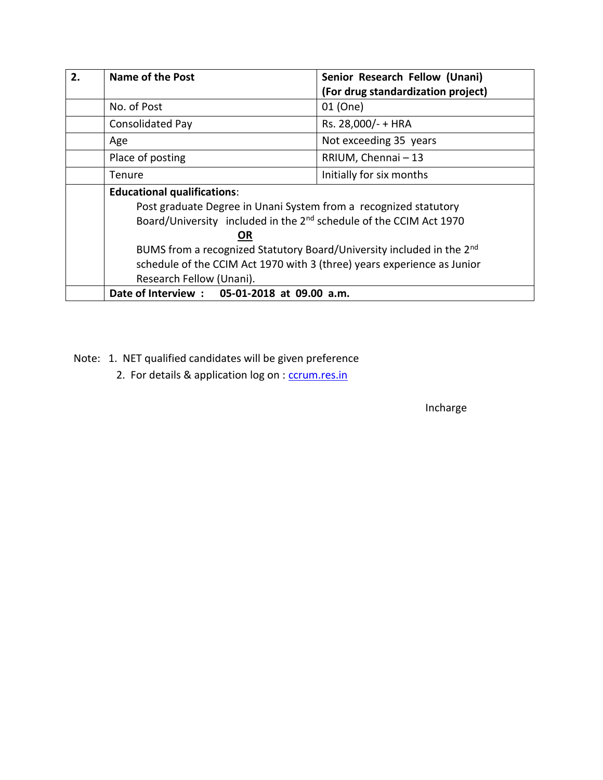| 2. | <b>Name of the Post</b>                                                                                                                                                                  | Senior Research Fellow (Unani)     |  |
|----|------------------------------------------------------------------------------------------------------------------------------------------------------------------------------------------|------------------------------------|--|
|    |                                                                                                                                                                                          | (For drug standardization project) |  |
|    | No. of Post                                                                                                                                                                              | 01 (One)                           |  |
|    | <b>Consolidated Pay</b>                                                                                                                                                                  | Rs. 28,000/- + HRA                 |  |
|    | Age                                                                                                                                                                                      | Not exceeding 35 years             |  |
|    | Place of posting                                                                                                                                                                         | RRIUM, Chennai - 13                |  |
|    | Tenure                                                                                                                                                                                   | Initially for six months           |  |
|    | <b>Educational qualifications:</b><br>Post graduate Degree in Unani System from a recognized statutory<br>Board/University included in the 2 <sup>nd</sup> schedule of the CCIM Act 1970 |                                    |  |
|    |                                                                                                                                                                                          |                                    |  |
|    |                                                                                                                                                                                          |                                    |  |
|    | <b>OR</b>                                                                                                                                                                                |                                    |  |
|    | BUMS from a recognized Statutory Board/University included in the 2 <sup>nd</sup>                                                                                                        |                                    |  |
|    | schedule of the CCIM Act 1970 with 3 (three) years experience as Junior                                                                                                                  |                                    |  |
|    | Research Fellow (Unani).                                                                                                                                                                 |                                    |  |
|    | Date of Interview : 05-01-2018 at 09.00 a.m.                                                                                                                                             |                                    |  |

Note: 1. NET qualified candidates will be given preference

2. For details & application log on : [ccrum.res.in](http://www.ccrum.res.in/)

Incharge